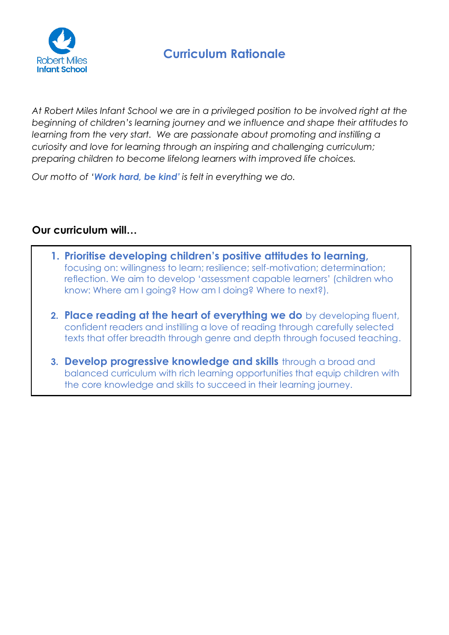

*At Robert Miles Infant School we are in a privileged position to be involved right at the beginning of children's learning journey and we influence and shape their attitudes to learning from the very start. We are passionate about promoting and instilling a curiosity and love for learning through an inspiring and challenging curriculum; preparing children to become lifelong learners with improved life choices.*

*Our motto of 'Work hard, be kind' is felt in everything we do.*

# **Our curriculum will…**

- **1. Prioritise developing children's positive attitudes to learning,**  focusing on: willingness to learn; resilience; self-motivation; determination; reflection. We aim to develop 'assessment capable learners' (children who know: Where am I going? How am I doing? Where to next?).
- **2. Place reading at the heart of everything we do** by developing fluent, confident readers and instilling a love of reading through carefully selected texts that offer breadth through genre and depth through focused teaching.
- **3. Develop progressive knowledge and skills** through a broad and balanced curriculum with rich learning opportunities that equip children with the core knowledge and skills to succeed in their learning journey.